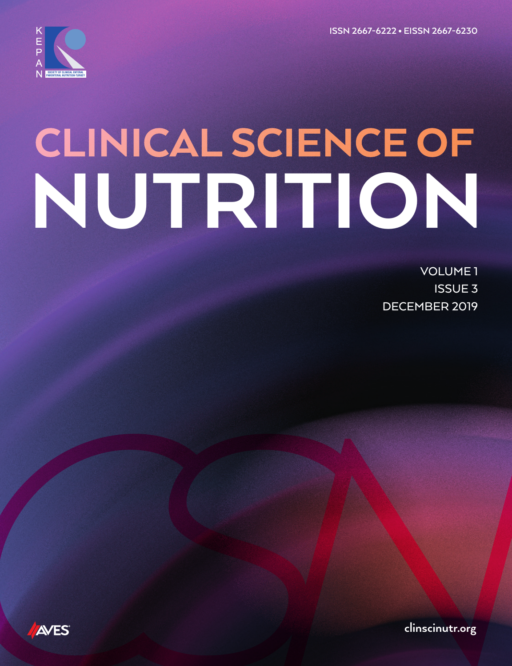**ISSN 2667-6222 • EISSN 2667-6230**



# CLINICAL SCIENCE OF<br>NUTRITION

VOLUME 1 ISSUE 3 DECEMBER 2019



**clinscinutr.org**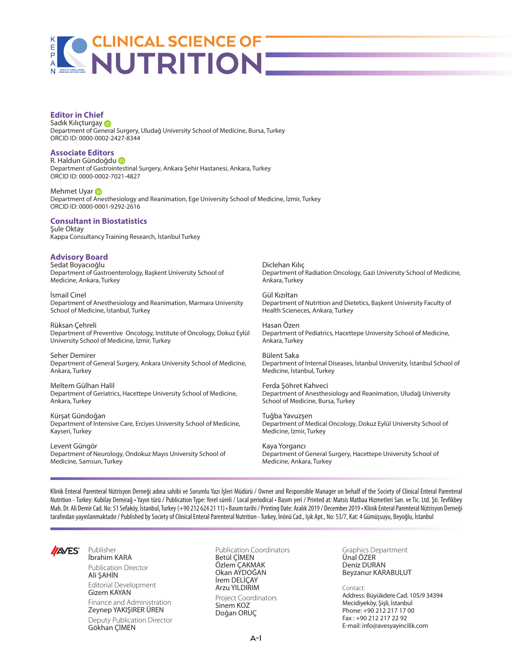## **Editor in Chief**

SadıkKılıçturgay D Department of General Surgery, Uludağ University School of Medicine, Bursa, Turkey ORCID ID: 0000-0002-2427-8344

## **Associate Editors**

R. Haldun Gündoğdu Department of Gastrointestinal Surgery, Ankara Şehir Hastanesi, Ankara, Turkey ORCID ID: 0000-0002-7021-4827

MehmetUvar in Department of Anesthesiology and Reanimation, Ege University School of Medicine, İzmir, Turkey ORCID ID: 0000-0001-9292-2616

#### **Consultant in Biostatistics** Sule Oktav

Kappa Consultancy Training Research, İstanbul Turkey

## **Advisory Board**

Sedat Boyacıoğlu Department of Gastroenterology, Başkent University School of Medicine, Ankara, Turkey

İsmail Cinel Department of Anesthesiology and Reanimation, Marmara University School of Medicine, İstanbul, Turkey

Rüksan Çehreli Department of Preventive Oncology, Institute of Oncology, Dokuz Eylül University School of Medicine, İzmir, Turkey

Seher Demirer Department of General Surgery, Ankara University School of Medicine, Ankara, Turkey

Meltem Gülhan Halil Department of Geriatrics, Hacettepe University School of Medicine, Ankara, Turkey

Kürşat Gündoğan Department of Intensive Care, Erciyes University School of Medicine, Kayseri, Turkey

Levent Güngör Department of Neurology, Ondokuz Mayıs University School of Medicine, Samsun, Turkey

Diclehan Kılıç Department of Radiation Oncology, Gazi University School of Medicine, Ankara, Turkey

Gül Kızıltan Department of Nutrition and Dietetics, Başkent University Faculty of Health Scieneces, Ankara, Turkey

Hasan Özen Department of Pediatrics, Hacettepe University School of Medicine, Ankara, Turkey

Bülent Saka Department of Internal Diseases, İstanbul University, İstanbul School of Medicine, İstanbul, Turkey

Ferda Şöhret Kahveci Department of Anesthesiology and Reanimation, Uludağ University School of Medicine, Bursa, Turkey

Tuğba Yavuzşen Department of Medical Oncology, Dokuz Eylül University School of Medicine, İzmir, Turkey

Kaya Yorgancı Department of General Surgery, Hacettepe University School of Medicine, Ankara, Turkey

Klinik Enteral Parenteral Nütrisyon Derneği adına sahibi ve Sorumlu Yazı İşleri Müdürü / Owner and Responsible Manager on behalf of the Society of Clinical Enteral Parenteral Nutrition - Turkey: Kubilay Demirağ • Yayın türü / Publication Type: Yerel süreli / Local periodical • Basım yeri / Printed at: Matsis Matbaa Hizmetleri San. ve Tic. Ltd. Şti. Tevfikbey Mah. Dr. Ali Demir Cad. No: 51 Sefaköy, İstanbul, Turkey (+90 212 624 21 11) • Basım tarihi / Printing Date: Aralık 2019 / December 2019 • Klinik Enteral Parenteral Nütrisyon Derneği tarafından yayınlanmaktadır / Published by Society of Clinical Enteral Parenteral Nutrition - Turkey, İnönü Cad., Işık Apt., No: 53/7, Kat: 4 Gümüşsuyu, Beyoğlu, İstanbul



Publisher İbrahim KARA

Publication Director Ali ŞAHİN Editorial Development Gizem KAYAN

Finance and Administration Zeynep YAKIŞIRER ÜREN Deputy Publication Director Gökhan ÇİMEN

Publication Coordinators Betül ÇİMEN Özlem ÇAKMAK Okan AYDOĞAN İrem DELİÇAY Arzu YILDIRIM Project Coordinators Sinem KOZ Doğan ORUÇ

Graphics Department Ünal ÖZER Deniz DURAN Beyzanur KARABULUT

Contact: Address: Büyükdere Cad. 105/9 34394 Mecidiyeköy, Şişli, İstanbul Phone: +90 212 217 17 00 Fax : +90 212 217 22 92 E-mail: info@avesyayincilik.com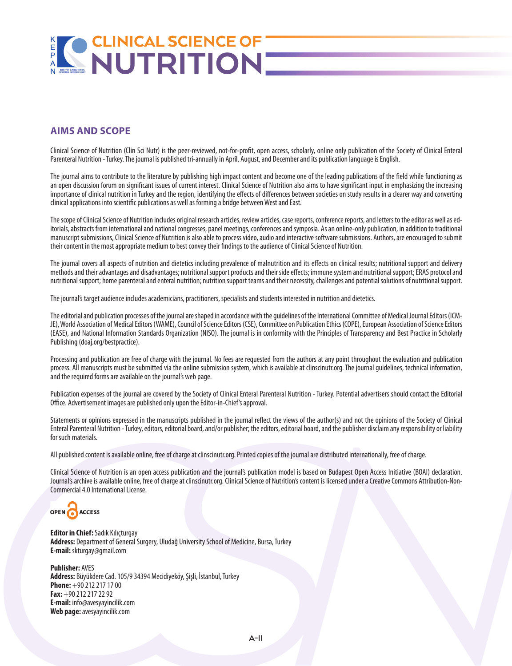## $\frac{R}{P}$ **PARENTERAL NUTRITION SOCIETY OF CLINICAL ENTERAL**

## **AIMS AND SCOPE**

Clinical Science of Nutrition (Clin Sci Nutr) is the peer-reviewed, not-for-profit, open access, scholarly, online only publication of the Society of Clinical Enteral Parenteral Nutrition - Turkey. The journal is published tri-annually in April, August, and December and its publication language is English.

The journal aims to contribute to the literature by publishing high impact content and become one of the leading publications of the field while functioning as an open discussion forum on significant issues of current interest. Clinical Science of Nutrition also aims to have significant input in emphasizing the increasing importance of clinical nutrition in Turkey and the region, identifying the effects of differences between societies on study results in a clearer way and converting clinical applications into scientific publications as well as forming a bridge between West and East.

The scope of Clinical Science of Nutrition includes original research articles, review articles, case reports, conference reports, and letters to the editor as well as editorials, abstracts from international and national congresses, panel meetings, conferences and symposia. As an online-only publication, in addition to traditional manuscript submissions, Clinical Science of Nutrition is also able to process video, audio and interactive software submissions. Authors, are encouraged to submit their content in the most appropriate medium to best convey their findings to the audience of Clinical Science of Nutrition.

The journal covers all aspects of nutrition and dietetics including prevalence of malnutrition and its effects on clinical results; nutritional support and delivery methods and their advantages and disadvantages; nutritional support products and their side effects; immune system and nutritional support; ERAS protocol and nutritional support; home parenteral and enteral nutrition; nutrition support teams and their necessity, challenges and potential solutions of nutritional support.

The journal's target audience includes academicians, practitioners, specialists and students interested in nutrition and dietetics.

The editorial and publication processes of the journal are shaped in accordance with the guidelines of the International Committee of Medical Journal Editors (ICM-JE), World Association of Medical Editors (WAME), Council of Science Editors (CSE), Committee on Publication Ethics (COPE), European Association of Science Editors (EASE), and National Information Standards Organization (NISO). The journal is in conformity with the Principles of Transparency and Best Practice in Scholarly Publishing (doaj.org/bestpractice).

Processing and publication are free of charge with the journal. No fees are requested from the authors at any point throughout the evaluation and publication process. All manuscripts must be submitted via the online submission system, which is available at clinscinutr.org. The journal guidelines, technical information, and the required forms are available on the journal's web page.

Publication expenses of the journal are covered by the Society of Clinical Enteral Parenteral Nutrition - Turkey. Potential advertisers should contact the Editorial Office. Advertisement images are published only upon the Editor-in-Chief's approval.

Statements or opinions expressed in the manuscripts published in the journal reflect the views of the author(s) and not the opinions of the Society of Clinical Enteral Parenteral Nutrition - Turkey, editors, editorial board, and/or publisher; the editors, editorial board, and the publisher disclaim any responsibility or liability for such materials.

All published content is available online, free of charge at clinscinutr.org. Printed copies of the journal are distributed internationally, free of charge.

Clinical Science of Nutrition is an open access publication and the journal's publication model is based on Budapest Open Access Initiative (BOAI) declaration. Journal's archive is available online, free of charge at clinscinutr.org. Clinical Science of Nutrition's content is licensed under a Creative Commons Attribution-Non-Commercial 4.0 International License.

OPEN ACCESS

**Editor in Chief:** Sadık Kılıçturgay **Address:** Department of General Surgery, Uludağ University School of Medicine, Bursa, Turkey **E-mail:** skturgay@gmail.com

**Publisher:** AVES **Address:** Büyükdere Cad. 105/9 34394 Mecidiyeköy, Şişli, İstanbul, Turkey **Phone:** +90 212 217 17 00 **Fax:** +90 212 217 22 92 **E-mail:** info@avesyayincilik.com **Web page:**avesyayincilik.com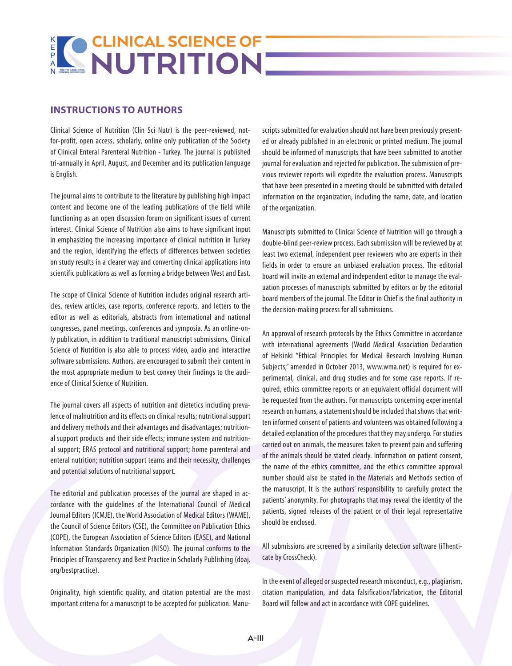## **INSTRUCTIONS TO AUTHORS**

Clinical Science of Nutrition (Clin Sci Nutr) is the peer-reviewed, notfor-profit, open access, scholarly, online only publication of the Society of Clinical Enteral Parenteral Nutrition - Turkey. The journal is published tri-annually in April, August, and December and its publication language is English.

The journal aims to contribute to the literature by publishing high impact content and become one of the leading publications of the field while functioning as an open discussion forum on significant issues of current interest. Clinical Science of Nutrition also aims to have significant input in emphasizing the increasing importance of clinical nutrition in Turkey and the region, identifying the effects of differences between societies on study results in a clearer way and converting clinical applications into scientific publications as well as forming a bridge between West and East.

The scope of Clinical Science of Nutrition includes original research articles, review articles, case reports, conference reports, and letters to the editor as well as editorials, abstracts from international and national congresses, panel meetings, conferences and symposia. As an online-only publication, in addition to traditional manuscript submissions, Clinical Science of Nutrition is also able to process video, audio and interactive software submissions. Authors, are encouraged to submit their content in the most appropriate medium to best convey their findings to the audience of Clinical Science of Nutrition.

The journal covers all aspects of nutrition and dietetics including prevalence of malnutrition and its effects on clinical results; nutritional support and delivery methods and their advantages and disadvantages; nutritional support products and their side effects; immune system and nutritional support; ERAS protocol and nutritional support; home parenteral and enteral nutrition; nutrition support teams and their necessity, challenges and potential solutions of nutritional support.

The editorial and publication processes of the journal are shaped in accordance with the guidelines of the International Council of Medical Journal Editors (ICMJE), the World Association of Medical Editors (WAME), the Council of Science Editors (CSE), the Committee on Publication Ethics (COPE), the European Association of Science Editors (EASE), and National Information Standards Organization (NISO). The journal conforms to the Principles of Transparency and Best Practice in Scholarly Publishing (doaj. org/bestpractice).

Originality, high scientific quality, and citation potential are the most important criteria for a manuscript to be accepted for publication. Manuscripts submitted for evaluation should not have been previously presented or already published in an electronic or printed medium. The journal should be informed of manuscripts that have been submitted to another journal for evaluation and rejected for publication. The submission of previous reviewer reports will expedite the evaluation process. Manuscripts that have been presented in a meeting should be submitted with detailed information on the organization, including the name, date, and location of the organization.

Manuscripts submitted to Clinical Science of Nutrition will go through a double-blind peer-review process. Each submission will be reviewed by at least two external, independent peer reviewers who are experts in their fields in order to ensure an unbiased evaluation process. The editorial board will invite an external and independent editor to manage the evaluation processes of manuscripts submitted by editors or by the editorial board members of the journal. The Editor in Chief is the final authority in the decision-making process for all submissions.

An approval of research protocols by the Ethics Committee in accordance with international agreements (World Medical Association Declaration of Helsinki "Ethical Principles for Medical Research Involving Human Subjects," amended in October 2013, www.wma.net) is required for experimental, clinical, and drug studies and for some case reports. If required, ethics committee reports or an equivalent official document will be requested from the authors. For manuscripts concerning experimental research on humans, a statement should be included that shows that written informed consent of patients and volunteers was obtained following a detailed explanation of the procedures that they may undergo. For studies carried out on animals, the measures taken to prevent pain and suffering of the animals should be stated clearly. Information on patient consent, the name of the ethics committee, and the ethics committee approval number should also be stated in the Materials and Methods section of the manuscript. It is the authors' responsibility to carefully protect the patients' anonymity. For photographs that may reveal the identity of the patients, signed releases of the patient or of their legal representative should be enclosed.

All submissions are screened by a similarity detection software (iThenticate by CrossCheck).

In the event of alleged or suspected research misconduct, e.g., plagiarism, citation manipulation, and data falsification/fabrication, the Editorial Board will follow and act in accordance with COPE guidelines.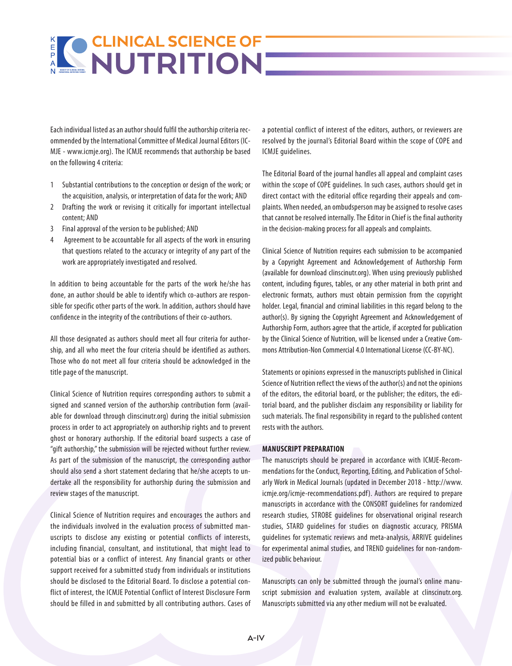Each individual listed as an author should fulfil the authorship criteria recommended by the International Committee of Medical Journal Editors (IC-MJE - www.icmje.org). The ICMJE recommends that authorship be based on the following 4 criteria:

- 1 Substantial contributions to the conception or design of the work; or the acquisition, analysis, or interpretation of data for the work; AND
- 2 Drafting the work or revising it critically for important intellectual content; AND
- 3 Final approval of the version to be published; AND
- 4 Agreement to be accountable for all aspects of the work in ensuring that questions related to the accuracy or integrity of any part of the work are appropriately investigated and resolved.

In addition to being accountable for the parts of the work he/she has done, an author should be able to identify which co-authors are responsible for specific other parts of the work. In addition, authors should have confidence in the integrity of the contributions of their co-authors.

All those designated as authors should meet all four criteria for authorship, and all who meet the four criteria should be identified as authors. Those who do not meet all four criteria should be acknowledged in the title page of the manuscript.

Clinical Science of Nutrition requires corresponding authors to submit a signed and scanned version of the authorship contribution form (available for download through clinscinutr.org) during the initial submission process in order to act appropriately on authorship rights and to prevent ghost or honorary authorship. If the editorial board suspects a case of "gift authorship," the submission will be rejected without further review. As part of the submission of the manuscript, the corresponding author should also send a short statement declaring that he/she accepts to undertake all the responsibility for authorship during the submission and review stages of the manuscript.

Clinical Science of Nutrition requires and encourages the authors and the individuals involved in the evaluation process of submitted manuscripts to disclose any existing or potential conflicts of interests, including financial, consultant, and institutional, that might lead to potential bias or a conflict of interest. Any financial grants or other support received for a submitted study from individuals or institutions should be disclosed to the Editorial Board. To disclose a potential conflict of interest, the ICMJE Potential Conflict of Interest Disclosure Form should be filled in and submitted by all contributing authors. Cases of a potential conflict of interest of the editors, authors, or reviewers are resolved by the journal's Editorial Board within the scope of COPE and ICMJE guidelines.

The Editorial Board of the journal handles all appeal and complaint cases within the scope of COPE guidelines. In such cases, authors should get in direct contact with the editorial office regarding their appeals and complaints. When needed, an ombudsperson may be assigned to resolve cases that cannot be resolved internally. The Editor in Chief is the final authority in the decision-making process for all appeals and complaints.

Clinical Science of Nutrition requires each submission to be accompanied by a Copyright Agreement and Acknowledgement of Authorship Form (available for download clinscinutr.org). When using previously published content, including figures, tables, or any other material in both print and electronic formats, authors must obtain permission from the copyright holder. Legal, financial and criminal liabilities in this regard belong to the author(s). By signing the Copyright Agreement and Acknowledgement of Authorship Form, authors agree that the article, if accepted for publication by the Clinical Science of Nutrition, will be licensed under a Creative Commons Attribution-Non Commercial 4.0 International License (CC-BY-NC).

Statements or opinions expressed in the manuscripts published in Clinical Science of Nutrition reflect the views of the author(s) and not the opinions of the editors, the editorial board, or the publisher; the editors, the editorial board, and the publisher disclaim any responsibility or liability for such materials. The final responsibility in regard to the published content rests with the authors.

## **MANUSCRIPT PREPARATION**

The manuscripts should be prepared in accordance with ICMJE-Recommendations for the Conduct, Reporting, Editing, and Publication of Scholarly Work in Medical Journals (updated in December 2018 - http://www. icmje.org/icmje-recommendations.pdf ). Authors are required to prepare manuscripts in accordance with the CONSORT guidelines for randomized research studies, STROBE guidelines for observational original research studies, STARD guidelines for studies on diagnostic accuracy, PRISMA guidelines for systematic reviews and meta-analysis, ARRIVE guidelines for experimental animal studies, and TREND guidelines for non-randomized public behaviour.

Manuscripts can only be submitted through the journal's online manuscript submission and evaluation system, available at clinscinutr.org. Manuscripts submitted via any other medium will not be evaluated.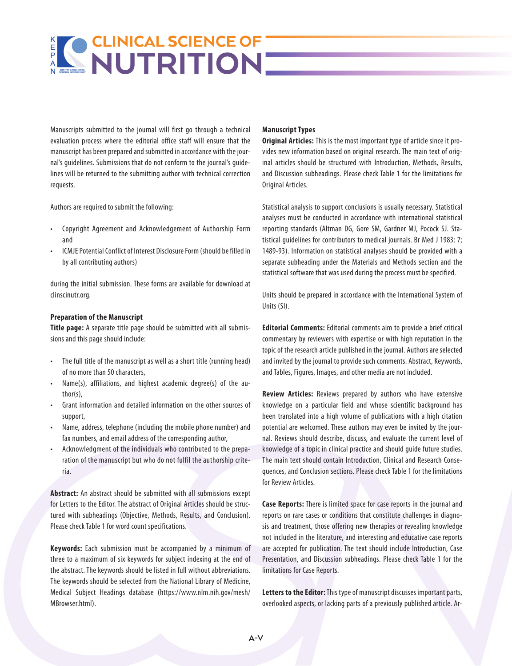Manuscripts submitted to the journal will first go through a technical evaluation process where the editorial office staff will ensure that the manuscript has been prepared and submitted in accordance with the journal's guidelines. Submissions that do not conform to the journal's guidelines will be returned to the submitting author with technical correction requests.

Authors are required to submit the following:

- Copyright Agreement and Acknowledgement of Authorship Form and
- ICMJE Potential Conflict of Interest Disclosure Form (should be filled in by all contributing authors)

during the initial submission. These forms are available for download at clinscinutr.org.

## **Preparation of the Manuscript**

**Title page:** A separate title page should be submitted with all submissions and this page should include:

- The full title of the manuscript as well as a short title (running head) of no more than 50 characters,
- Name(s), affiliations, and highest academic degree(s) of the author(s),
- Grant information and detailed information on the other sources of support,
- Name, address, telephone (including the mobile phone number) and fax numbers, and email address of the corresponding author,
- Acknowledgment of the individuals who contributed to the preparation of the manuscript but who do not fulfil the authorship criteria.

**Abstract:** An abstract should be submitted with all submissions except for Letters to the Editor. The abstract of Original Articles should be structured with subheadings (Objective, Methods, Results, and Conclusion). Please check Table 1 for word count specifications.

**Keywords:** Each submission must be accompanied by a minimum of three to a maximum of six keywords for subject indexing at the end of the abstract. The keywords should be listed in full without abbreviations. The keywords should be selected from the National Library of Medicine, Medical Subject Headings database (https://www.nlm.nih.gov/mesh/ MBrowser.html).

## **Manuscript Types**

**Original Articles:** This is the most important type of article since it provides new information based on original research. The main text of original articles should be structured with Introduction, Methods, Results, and Discussion subheadings. Please check Table 1 for the limitations for Original Articles.

Statistical analysis to support conclusions is usually necessary. Statistical analyses must be conducted in accordance with international statistical reporting standards (Altman DG, Gore SM, Gardner MJ, Pocock SJ. Statistical guidelines for contributors to medical journals. Br Med J 1983: 7; 1489-93). Information on statistical analyses should be provided with a separate subheading under the Materials and Methods section and the statistical software that was used during the process must be specified.

Units should be prepared in accordance with the International System of Units (SI).

**Editorial Comments:** Editorial comments aim to provide a brief critical commentary by reviewers with expertise or with high reputation in the topic of the research article published in the journal. Authors are selected and invited by the journal to provide such comments. Abstract, Keywords, and Tables, Figures, Images, and other media are not included.

**Review Articles:** Reviews prepared by authors who have extensive knowledge on a particular field and whose scientific background has been translated into a high volume of publications with a high citation potential are welcomed. These authors may even be invited by the journal. Reviews should describe, discuss, and evaluate the current level of knowledge of a topic in clinical practice and should guide future studies. The main text should contain Introduction, Clinical and Research Consequences, and Conclusion sections. Please check Table 1 for the limitations for Review Articles.

**Case Reports:** There is limited space for case reports in the journal and reports on rare cases or conditions that constitute challenges in diagnosis and treatment, those offering new therapies or revealing knowledge not included in the literature, and interesting and educative case reports are accepted for publication. The text should include Introduction, Case Presentation, and Discussion subheadings. Please check Table 1 for the limitations for Case Reports.

**Letters to the Editor:** This type of manuscript discusses important parts, overlooked aspects, or lacking parts of a previously published article. Ar-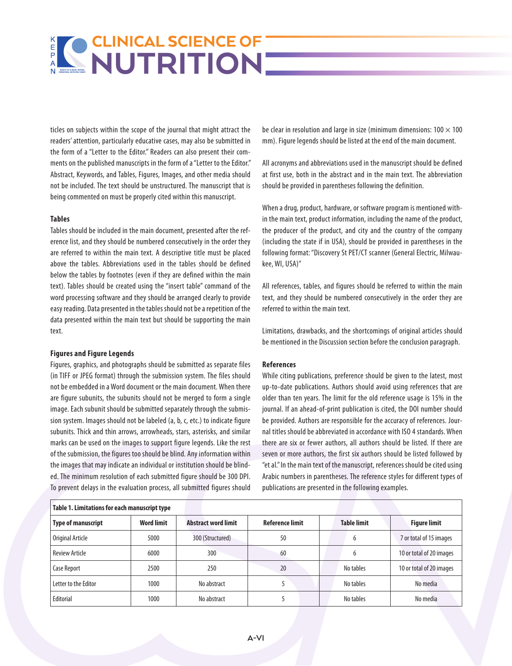## $K$   $R$   $R$ **PARENTERAL NUTRITION SOCIETY OF CLINICAL ENTERAL**

ticles on subjects within the scope of the journal that might attract the readers' attention, particularly educative cases, may also be submitted in the form of a "Letter to the Editor." Readers can also present their comments on the published manuscripts in the form of a "Letter to the Editor." Abstract, Keywords, and Tables, Figures, Images, and other media should not be included. The text should be unstructured. The manuscript that is being commented on must be properly cited within this manuscript.

## **Tables**

Tables should be included in the main document, presented after the reference list, and they should be numbered consecutively in the order they are referred to within the main text. A descriptive title must be placed above the tables. Abbreviations used in the tables should be defined below the tables by footnotes (even if they are defined within the main text). Tables should be created using the "insert table" command of the word processing software and they should be arranged clearly to provide easy reading. Data presented in the tables should not be a repetition of the data presented within the main text but should be supporting the main text.

#### **Figures and Figure Legends**

Figures, graphics, and photographs should be submitted as separate files (in TIFF or JPEG format) through the submission system. The files should not be embedded in a Word document or the main document. When there are figure subunits, the subunits should not be merged to form a single image. Each subunit should be submitted separately through the submission system. Images should not be labeled (a, b, c, etc.) to indicate figure subunits. Thick and thin arrows, arrowheads, stars, asterisks, and similar marks can be used on the images to support figure legends. Like the rest of the submission, the figures too should be blind. Any information within the images that may indicate an individual or institution should be blinded. The minimum resolution of each submitted figure should be 300 DPI. To prevent delays in the evaluation process, all submitted figures should

be clear in resolution and large in size (minimum dimensions:  $100 \times 100$ mm). Figure legends should be listed at the end of the main document.

All acronyms and abbreviations used in the manuscript should be defined at first use, both in the abstract and in the main text. The abbreviation should be provided in parentheses following the definition.

When a drug, product, hardware, or software program is mentioned within the main text, product information, including the name of the product, the producer of the product, and city and the country of the company (including the state if in USA), should be provided in parentheses in the following format: "Discovery St PET/CT scanner (General Electric, Milwaukee, WI, USA)"

All references, tables, and figures should be referred to within the main text, and they should be numbered consecutively in the order they are referred to within the main text.

Limitations, drawbacks, and the shortcomings of original articles should be mentioned in the Discussion section before the conclusion paragraph.

## **References**

While citing publications, preference should be given to the latest, most up-to-date publications. Authors should avoid using references that are older than ten years. The limit for the old reference usage is 15% in the journal. If an ahead-of-print publication is cited, the DOI number should be provided. Authors are responsible for the accuracy of references. Journal titles should be abbreviated in accordance with ISO 4 standards. When there are six or fewer authors, all authors should be listed. If there are seven or more authors, the first six authors should be listed followed by "et al." In the main text of the manuscript, references should be cited using Arabic numbers in parentheses. The reference styles for different types of publications are presented in the following examples.

| Table 1. Limitations for each manuscript type |                   |                            |                        |                    |                          |
|-----------------------------------------------|-------------------|----------------------------|------------------------|--------------------|--------------------------|
| <b>Type of manuscript</b>                     | <b>Word limit</b> | <b>Abstract word limit</b> | <b>Reference limit</b> | <b>Table limit</b> | <b>Figure limit</b>      |
| Original Article                              | 5000              | 300 (Structured)           | 50                     | 6                  | 7 or total of 15 images  |
| <b>Review Article</b>                         | 6000              | 300                        | 60                     | b                  | 10 or total of 20 images |
| Case Report                                   | 2500              | 250                        | 20                     | No tables          | 10 or total of 20 images |
| Letter to the Editor                          | 1000              | No abstract                |                        | No tables          | No media                 |
| Editorial                                     | 1000              | No abstract                |                        | No tables          | No media                 |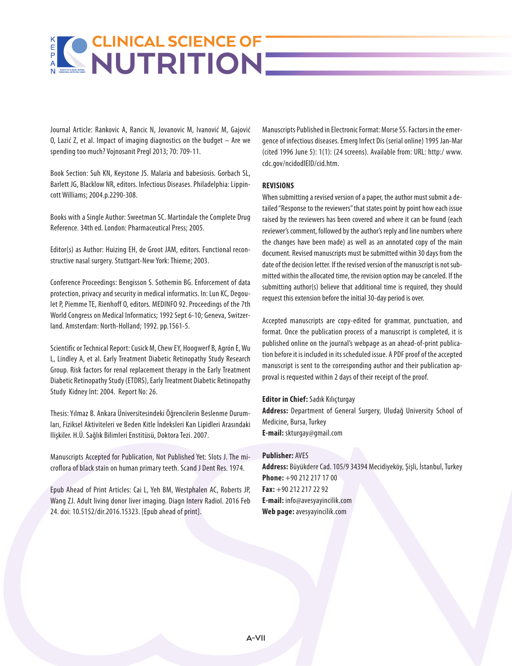Journal Article: Rankovic A, Rancic N, Jovanovic M, Ivanović M, Gajović O, Lazić Z, et al. Impact of imaging diagnostics on the budget – Are we spending too much? Vojnosanit Pregl 2013; 70: 709-11.

Book Section: Suh KN, Keystone JS. Malaria and babesiosis. Gorbach SL, Barlett JG, Blacklow NR, editors. Infectious Diseases. Philadelphia: Lippincott Williams; 2004.p.2290-308.

Books with a Single Author: Sweetman SC. Martindale the Complete Drug Reference. 34th ed. London: Pharmaceutical Press; 2005.

Editor(s) as Author: Huizing EH, de Groot JAM, editors. Functional reconstructive nasal surgery. Stuttgart-New York: Thieme; 2003.

Conference Proceedings: Bengisson S. Sothemin BG. Enforcement of data protection, privacy and security in medical informatics. In: Lun KC, Degoulet P, Piemme TE, Rienhoff O, editors. MEDINFO 92. Proceedings of the 7th World Congress on Medical Informatics; 1992 Sept 6-10; Geneva, Switzerland. Amsterdam: North-Holland; 1992. pp.1561-5.

Scientific or Technical Report: Cusick M, Chew EY, Hoogwerf B, Agrón E, Wu L, Lindley A, et al. Early Treatment Diabetic Retinopathy Study Research Group. Risk factors for renal replacement therapy in the Early Treatment Diabetic Retinopathy Study (ETDRS), Early Treatment Diabetic Retinopathy Study Kidney Int: 2004. Report No: 26.

Thesis: Yılmaz B. Ankara Üniversitesindeki Öğrencilerin Beslenme Durumları, Fiziksel Aktiviteleri ve Beden Kitle İndeksleri Kan Lipidleri Arasındaki Ilişkiler. H.Ü. Sağlık Bilimleri Enstitüsü, Doktora Tezi. 2007.

Manuscripts Accepted for Publication, Not Published Yet: Slots J. The microflora of black stain on human primary teeth. Scand J Dent Res. 1974.

Epub Ahead of Print Articles: Cai L, Yeh BM, Westphalen AC, Roberts JP, Wang ZJ. Adult living donor liver imaging. Diagn Interv Radiol. 2016 Feb 24. doi: 10.5152/dir.2016.15323. [Epub ahead of print].

Manuscripts Published in Electronic Format: Morse SS. Factors in the emergence of infectious diseases. Emerg Infect Dis (serial online) 1995 Jan-Mar (cited 1996 June 5): 1(1): (24 screens). Available from: URL: http:/ www. cdc.gov/ncidodlElD/cid.htm.

## **REVISIONS**

When submitting a revised version of a paper, the author must submit a detailed "Response to the reviewers" that states point by point how each issue raised by the reviewers has been covered and where it can be found (each reviewer's comment, followed by the author's reply and line numbers where the changes have been made) as well as an annotated copy of the main document. Revised manuscripts must be submitted within 30 days from the date of the decision letter. If the revised version of the manuscript is not submitted within the allocated time, the revision option may be canceled. If the submitting author(s) believe that additional time is required, they should request this extension before the initial 30-day period is over.

Accepted manuscripts are copy-edited for grammar, punctuation, and format. Once the publication process of a manuscript is completed, it is published online on the journal's webpage as an ahead-of-print publication before it is included in its scheduled issue. A PDF proof of the accepted manuscript is sent to the corresponding author and their publication approval is requested within 2 days of their receipt of the proof.

**Editor in Chief:** Sadık Kılıçturgay **Address:** Department of General Surgery, Uludağ University School of Medicine, Bursa, Turkey **E-mail:** skturgay@gmail.com

## **Publisher:** AVES

**Address:** Büyükdere Cad. 105/9 34394 Mecidiyeköy, Şişli, İstanbul, Turkey **Phone:** +90 212 217 17 00 **Fax:** +90 212 217 22 92 **E-mail:** info@avesyayincilik.com **Web page:** avesyayincilik.com